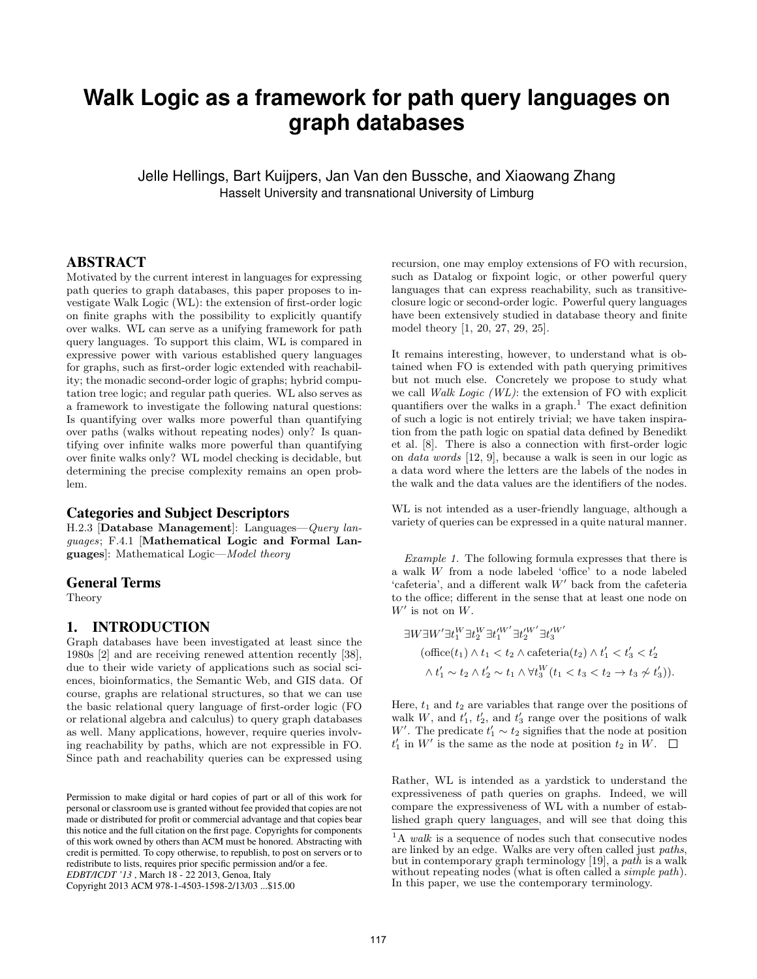# **Walk Logic as a framework for path query languages on graph databases**

Jelle Hellings, Bart Kuijpers, Jan Van den Bussche, and Xiaowang Zhang Hasselt University and transnational University of Limburg

## ABSTRACT

Motivated by the current interest in languages for expressing path queries to graph databases, this paper proposes to investigate Walk Logic (WL): the extension of first-order logic on finite graphs with the possibility to explicitly quantify over walks. WL can serve as a unifying framework for path query languages. To support this claim, WL is compared in expressive power with various established query languages for graphs, such as first-order logic extended with reachability; the monadic second-order logic of graphs; hybrid computation tree logic; and regular path queries. WL also serves as a framework to investigate the following natural questions: Is quantifying over walks more powerful than quantifying over paths (walks without repeating nodes) only? Is quantifying over infinite walks more powerful than quantifying over finite walks only? WL model checking is decidable, but determining the precise complexity remains an open problem.

#### Categories and Subject Descriptors

H.2.3 [Database Management]: Languages—Query languages; F.4.1 [Mathematical Logic and Formal Languages]: Mathematical Logic—Model theory

#### General Terms

Theory

## 1. INTRODUCTION

Graph databases have been investigated at least since the 1980s [2] and are receiving renewed attention recently [38], due to their wide variety of applications such as social sciences, bioinformatics, the Semantic Web, and GIS data. Of course, graphs are relational structures, so that we can use the basic relational query language of first-order logic (FO or relational algebra and calculus) to query graph databases as well. Many applications, however, require queries involving reachability by paths, which are not expressible in FO. Since path and reachability queries can be expressed using

Copyright 2013 ACM 978-1-4503-1598-2/13/03 ...\$15.00

recursion, one may employ extensions of FO with recursion, such as Datalog or fixpoint logic, or other powerful query languages that can express reachability, such as transitiveclosure logic or second-order logic. Powerful query languages have been extensively studied in database theory and finite model theory [1, 20, 27, 29, 25].

It remains interesting, however, to understand what is obtained when FO is extended with path querying primitives but not much else. Concretely we propose to study what we call Walk Logic (WL): the extension of FO with explicit quantifiers over the walks in a graph.<sup>1</sup> The exact definition of such a logic is not entirely trivial; we have taken inspiration from the path logic on spatial data defined by Benedikt et al. [8]. There is also a connection with first-order logic on data words [12, 9], because a walk is seen in our logic as a data word where the letters are the labels of the nodes in the walk and the data values are the identifiers of the nodes.

WL is not intended as a user-friendly language, although a variety of queries can be expressed in a quite natural manner.

Example 1. The following formula expresses that there is a walk W from a node labeled 'office' to a node labeled 'cafeteria', and a different walk  $W'$  back from the cafeteria to the office; different in the sense that at least one node on  $W'$  is not on  $W$ .

$$
\exists W \exists W' \exists t_1^W \exists t_2^W \exists t_1^{\prime W'} \exists t_2^{\prime W'} \exists t_3^{\prime W'} \n(\text{office}(t_1) \land t_1 < t_2 \land \text{cafeteria}(t_2) \land t_1^{\prime} < t_3^{\prime} < t_2^{\prime} \n\land t_1^{\prime} \sim t_2 \land t_2^{\prime} \sim t_1 \land \forall t_3^W \left(t_1 < t_3 < t_2 \rightarrow t_3 \not\sim t_3^{\prime}\right)).
$$

Here,  $t_1$  and  $t_2$  are variables that range over the positions of walk  $W$ , and  $t'_{1}$ ,  $t'_{2}$ , and  $t'_{3}$  range over the positions of walk W'. The predicate  $t'_1 \sim t_2$  signifies that the node at position  $t'_1$  in  $W'$  is the same as the node at position  $t_2$  in  $W$ .

Rather, WL is intended as a yardstick to understand the expressiveness of path queries on graphs. Indeed, we will compare the expressiveness of WL with a number of established graph query languages, and will see that doing this

Permission to make digital or hard copies of part or all of this work for personal or classroom use is granted without fee provided that copies are not made or distributed for profit or commercial advantage and that copies bear this notice and the full citation on the first page. Copyrights for components of this work owned by others than ACM must be honored. Abstracting with credit is permitted. To copy otherwise, to republish, to post on servers or to redistribute to lists, requires prior specific permission and/or a fee. *EDBT/ICDT '13* , March 18 - 22 2013, Genoa, Italy

 ${}^{1}\mathrm{A}$  walk is a sequence of nodes such that consecutive nodes are linked by an edge. Walks are very often called just paths, but in contemporary graph terminology [19], a path is a walk without repeating nodes (what is often called a *simple path*). In this paper, we use the contemporary terminology.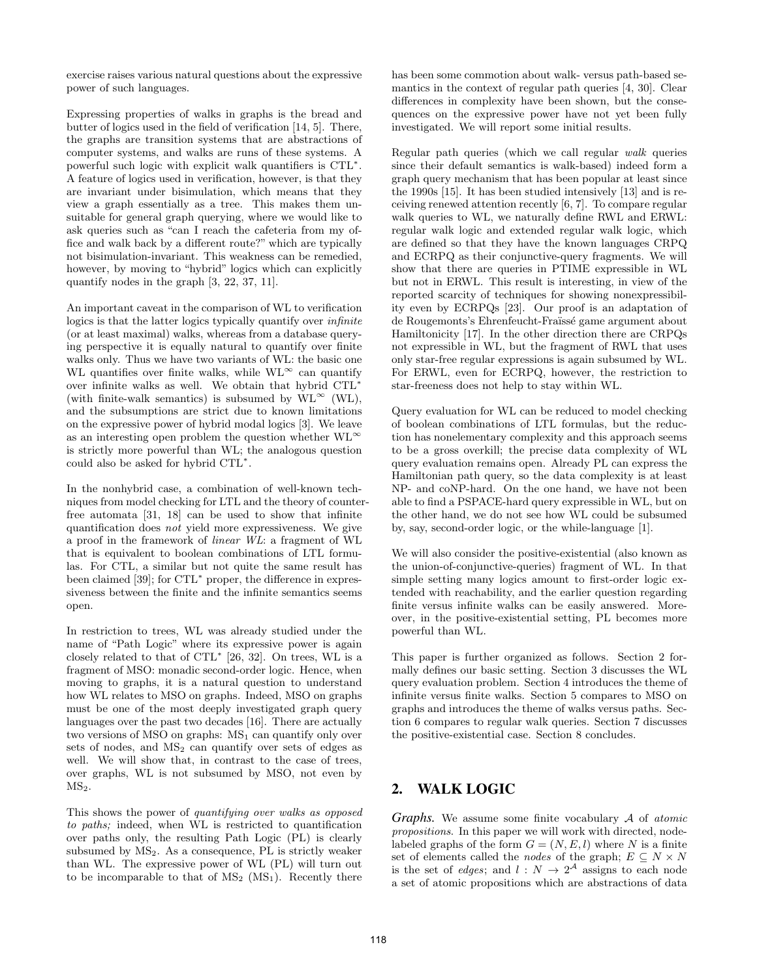exercise raises various natural questions about the expressive power of such languages.

Expressing properties of walks in graphs is the bread and butter of logics used in the field of verification [14, 5]. There, the graphs are transition systems that are abstractions of computer systems, and walks are runs of these systems. A powerful such logic with explicit walk quantifiers is CTL<sup>∗</sup> . A feature of logics used in verification, however, is that they are invariant under bisimulation, which means that they view a graph essentially as a tree. This makes them unsuitable for general graph querying, where we would like to ask queries such as "can I reach the cafeteria from my office and walk back by a different route?" which are typically not bisimulation-invariant. This weakness can be remedied, however, by moving to "hybrid" logics which can explicitly quantify nodes in the graph [3, 22, 37, 11].

An important caveat in the comparison of WL to verification logics is that the latter logics typically quantify over infinite (or at least maximal) walks, whereas from a database querying perspective it is equally natural to quantify over finite walks only. Thus we have two variants of WL: the basic one WL quantifies over finite walks, while  $W L^{\infty}$  can quantify over infinite walks as well. We obtain that hybrid CTL<sup>∗</sup> (with finite-walk semantics) is subsumed by  $\text{WL}^{\infty}$  (WL), and the subsumptions are strict due to known limitations on the expressive power of hybrid modal logics [3]. We leave as an interesting open problem the question whether  $WL^{\infty}$ is strictly more powerful than WL; the analogous question could also be asked for hybrid CTL<sup>∗</sup> .

In the nonhybrid case, a combination of well-known techniques from model checking for LTL and the theory of counterfree automata [31, 18] can be used to show that infinite quantification does not yield more expressiveness. We give a proof in the framework of linear WL: a fragment of WL that is equivalent to boolean combinations of LTL formulas. For CTL, a similar but not quite the same result has been claimed [39]; for CTL<sup>∗</sup> proper, the difference in expressiveness between the finite and the infinite semantics seems open.

In restriction to trees, WL was already studied under the name of "Path Logic" where its expressive power is again closely related to that of CTL<sup>∗</sup> [26, 32]. On trees, WL is a fragment of MSO: monadic second-order logic. Hence, when moving to graphs, it is a natural question to understand how WL relates to MSO on graphs. Indeed, MSO on graphs must be one of the most deeply investigated graph query languages over the past two decades [16]. There are actually two versions of MSO on graphs:  $MS_1$  can quantify only over sets of nodes, and  $MS<sub>2</sub>$  can quantify over sets of edges as well. We will show that, in contrast to the case of trees, over graphs, WL is not subsumed by MSO, not even by  $MS<sub>2</sub>$ .

This shows the power of quantifying over walks as opposed to paths; indeed, when WL is restricted to quantification over paths only, the resulting Path Logic (PL) is clearly subsumed by MS2. As a consequence, PL is strictly weaker than WL. The expressive power of WL (PL) will turn out to be incomparable to that of  $MS_2$  ( $MS_1$ ). Recently there

has been some commotion about walk- versus path-based semantics in the context of regular path queries [4, 30]. Clear differences in complexity have been shown, but the consequences on the expressive power have not yet been fully investigated. We will report some initial results.

Regular path queries (which we call regular walk queries since their default semantics is walk-based) indeed form a graph query mechanism that has been popular at least since the 1990s [15]. It has been studied intensively [13] and is receiving renewed attention recently [6, 7]. To compare regular walk queries to WL, we naturally define RWL and ERWL: regular walk logic and extended regular walk logic, which are defined so that they have the known languages CRPQ and ECRPQ as their conjunctive-query fragments. We will show that there are queries in PTIME expressible in WL but not in ERWL. This result is interesting, in view of the reported scarcity of techniques for showing nonexpressibility even by ECRPQs [23]. Our proof is an adaptation of de Rougemonts's Ehrenfeucht-Fraïssé game argument about Hamiltonicity [17]. In the other direction there are CRPQs not expressible in WL, but the fragment of RWL that uses only star-free regular expressions is again subsumed by WL. For ERWL, even for ECRPQ, however, the restriction to star-freeness does not help to stay within WL.

Query evaluation for WL can be reduced to model checking of boolean combinations of LTL formulas, but the reduction has nonelementary complexity and this approach seems to be a gross overkill; the precise data complexity of WL query evaluation remains open. Already PL can express the Hamiltonian path query, so the data complexity is at least NP- and coNP-hard. On the one hand, we have not been able to find a PSPACE-hard query expressible in WL, but on the other hand, we do not see how WL could be subsumed by, say, second-order logic, or the while-language [1].

We will also consider the positive-existential (also known as the union-of-conjunctive-queries) fragment of WL. In that simple setting many logics amount to first-order logic extended with reachability, and the earlier question regarding finite versus infinite walks can be easily answered. Moreover, in the positive-existential setting, PL becomes more powerful than WL.

This paper is further organized as follows. Section 2 formally defines our basic setting. Section 3 discusses the WL query evaluation problem. Section 4 introduces the theme of infinite versus finite walks. Section 5 compares to MSO on graphs and introduces the theme of walks versus paths. Section 6 compares to regular walk queries. Section 7 discusses the positive-existential case. Section 8 concludes.

# 2. WALK LOGIC

*Graphs.* We assume some finite vocabulary A of *atomic* propositions. In this paper we will work with directed, nodelabeled graphs of the form  $G = (N, E, l)$  where N is a finite set of elements called the *nodes* of the graph;  $E \subseteq N \times N$ is the set of *edges*; and  $l: N \to 2^{\mathcal{A}}$  assigns to each node a set of atomic propositions which are abstractions of data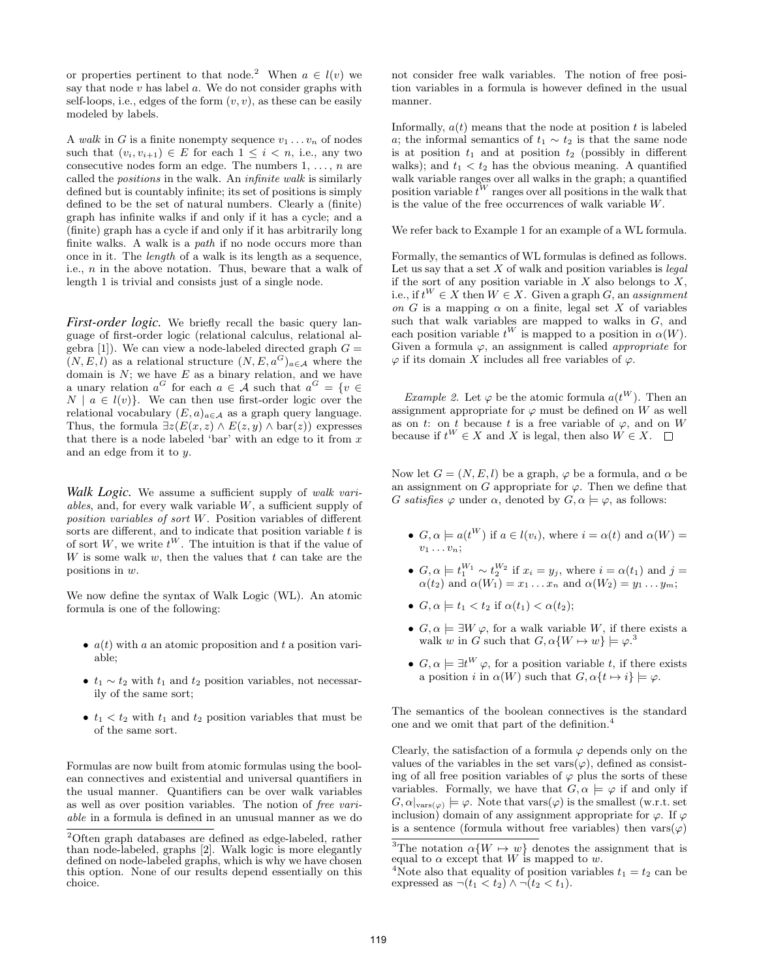or properties pertinent to that node.<sup>2</sup> When  $a \in l(v)$  we say that node  $v$  has label  $a$ . We do not consider graphs with self-loops, i.e., edges of the form  $(v, v)$ , as these can be easily modeled by labels.

A walk in G is a finite nonempty sequence  $v_1 \ldots v_n$  of nodes such that  $(v_i, v_{i+1}) \in E$  for each  $1 \leq i \leq n$ , i.e., any two consecutive nodes form an edge. The numbers  $1, \ldots, n$  are called the positions in the walk. An infinite walk is similarly defined but is countably infinite; its set of positions is simply defined to be the set of natural numbers. Clearly a (finite) graph has infinite walks if and only if it has a cycle; and a (finite) graph has a cycle if and only if it has arbitrarily long finite walks. A walk is a path if no node occurs more than once in it. The length of a walk is its length as a sequence, i.e., n in the above notation. Thus, beware that a walk of length 1 is trivial and consists just of a single node.

*First-order logic.* We briefly recall the basic query language of first-order logic (relational calculus, relational algebra [1]). We can view a node-labeled directed graph  $G =$  $(N, E, l)$  as a relational structure  $(N, E, a^G)_{a \in \mathcal{A}}$  where the domain is  $N$ ; we have  $E$  as a binary relation, and we have a unary relation  $a^G$  for each  $a \in \mathcal{A}$  such that  $a^G = \{v \in \mathcal{A} \mid v \in \mathcal{A}\}$  $N \mid a \in l(v)$ . We can then use first-order logic over the relational vocabulary  $(E, a)_{a \in \mathcal{A}}$  as a graph query language. Thus, the formula  $\exists z(E(x, z) \wedge E(z, y) \wedge bar(z))$  expresses that there is a node labeled 'bar' with an edge to it from  $x$ and an edge from it to y.

*Walk Logic.* We assume a sufficient supply of walk variables, and, for every walk variable W, a sufficient supply of position variables of sort W. Position variables of different sorts are different, and to indicate that position variable  $t$  is of sort W, we write  $t^W$ . The intuition is that if the value of  $W$  is some walk  $w$ , then the values that  $t$  can take are the positions in w.

We now define the syntax of Walk Logic (WL). An atomic formula is one of the following:

- $a(t)$  with a an atomic proposition and t a position variable;
- $t_1 \sim t_2$  with  $t_1$  and  $t_2$  position variables, not necessarily of the same sort;
- $t_1 < t_2$  with  $t_1$  and  $t_2$  position variables that must be of the same sort.

Formulas are now built from atomic formulas using the boolean connectives and existential and universal quantifiers in the usual manner. Quantifiers can be over walk variables as well as over position variables. The notion of free variable in a formula is defined in an unusual manner as we do not consider free walk variables. The notion of free position variables in a formula is however defined in the usual manner.

Informally,  $a(t)$  means that the node at position t is labeled a; the informal semantics of  $t_1 \sim t_2$  is that the same node is at position  $t_1$  and at position  $t_2$  (possibly in different walks); and  $t_1 < t_2$  has the obvious meaning. A quantified walk variable ranges over all walks in the graph; a quantified position variable  $t^W$  ranges over all positions in the walk that is the value of the free occurrences of walk variable W.

We refer back to Example 1 for an example of a WL formula.

Formally, the semantics of WL formulas is defined as follows. Let us say that a set  $X$  of walk and position variables is  $\mathit{legal}$ if the sort of any position variable in  $X$  also belongs to  $X$ , i.e., if  $t^W \in X$  then  $W \in X$ . Given a graph  $G$ , an assignment on G is a mapping  $\alpha$  on a finite, legal set X of variables such that walk variables are mapped to walks in G, and each position variable  $t^W$  is mapped to a position in  $\alpha(W)$ . Given a formula  $\varphi$ , an assignment is called *appropriate* for  $\varphi$  if its domain X includes all free variables of  $\varphi$ .

*Example 2.* Let  $\varphi$  be the atomic formula  $a(t^W)$ . Then an assignment appropriate for  $\varphi$  must be defined on W as well as on t: on t because t is a free variable of  $\varphi$ , and on W because if  $t^W \in X$  and X is legal, then also  $W \in X$ .

Now let  $G = (N, E, l)$  be a graph,  $\varphi$  be a formula, and  $\alpha$  be an assignment on G appropriate for  $\varphi$ . Then we define that G satisfies  $\varphi$  under  $\alpha$ , denoted by  $G, \alpha \models \varphi$ , as follows:

- $G, \alpha \models a(t^W)$  if  $a \in l(v_i)$ , where  $i = \alpha(t)$  and  $\alpha(W) =$  $v_1 \ldots v_n$ :
- $G, \alpha \models t_1^{W_1} \sim t_2^{W_2}$  if  $x_i = y_j$ , where  $i = \alpha(t_1)$  and  $j =$  $\alpha(t_2)$  and  $\alpha(W_1) = x_1 \dots x_n$  and  $\alpha(W_2) = y_1 \dots y_m$ ;
- $G, \alpha \models t_1 < t_2 \text{ if } \alpha(t_1) < \alpha(t_2);$
- $G, \alpha \models \exists W \varphi$ , for a walk variable W, if there exists a walk w in G such that  $G, \alpha \{W \mapsto w\} \models \varphi$ <sup>3</sup>
- $G, \alpha \models \exists t^W \varphi$ , for a position variable t, if there exists a position i in  $\alpha(W)$  such that  $G, \alpha\{t \mapsto i\} \models \varphi$ .

The semantics of the boolean connectives is the standard one and we omit that part of the definition.<sup>4</sup>

Clearly, the satisfaction of a formula  $\varphi$  depends only on the values of the variables in the set vars $(\varphi)$ , defined as consisting of all free position variables of  $\varphi$  plus the sorts of these variables. Formally, we have that  $G, \alpha \models \varphi$  if and only if  $G, \alpha|_{\text{vars}(\varphi)} \models \varphi$ . Note that vars $(\varphi)$  is the smallest (w.r.t. set inclusion) domain of any assignment appropriate for  $\varphi$ . If  $\varphi$ is a sentence (formula without free variables) then  $\text{vars}(\varphi)$ 

<sup>2</sup>Often graph databases are defined as edge-labeled, rather than node-labeled, graphs [2]. Walk logic is more elegantly defined on node-labeled graphs, which is why we have chosen this option. None of our results depend essentially on this choice.

<sup>&</sup>lt;sup>3</sup>The notation  $\alpha \{W \mapsto w\}$  denotes the assignment that is equal to  $\alpha$  except that W is mapped to w.

<sup>&</sup>lt;sup>4</sup>Note also that equality of position variables  $t_1 = t_2$  can be expressed as  $\neg(t_1 < t_2) \land \neg(t_2 < t_1)$ .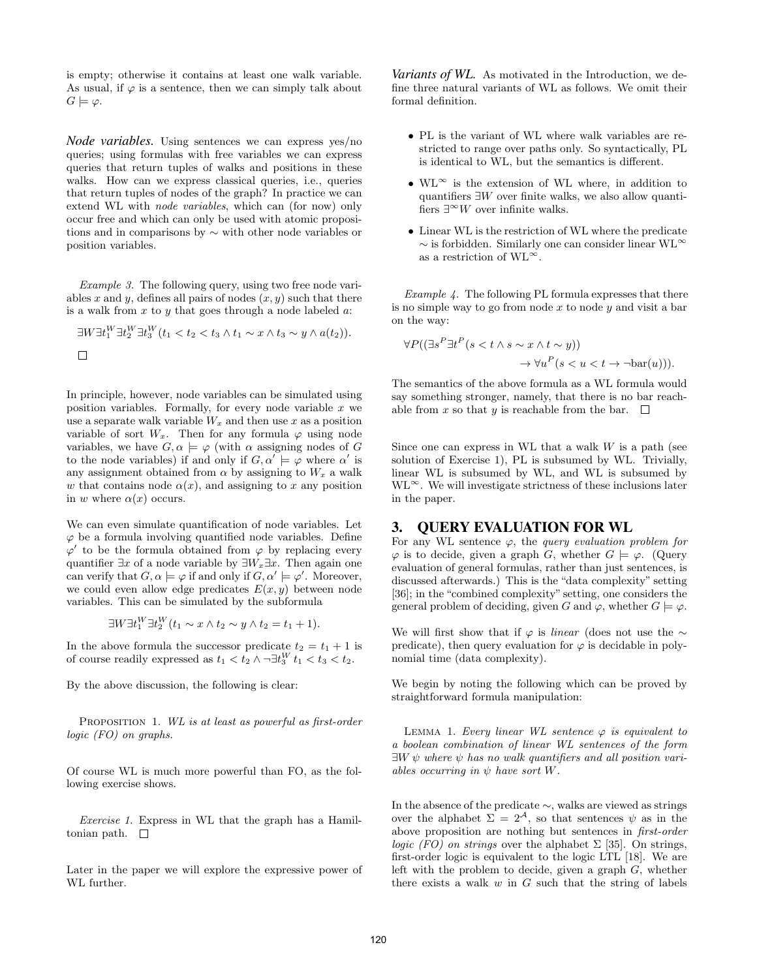is empty; otherwise it contains at least one walk variable. As usual, if  $\varphi$  is a sentence, then we can simply talk about  $G \models \varphi$ .

*Node variables.* Using sentences we can express yes/no queries; using formulas with free variables we can express queries that return tuples of walks and positions in these walks. How can we express classical queries, i.e., queries that return tuples of nodes of the graph? In practice we can extend WL with node variables, which can (for now) only occur free and which can only be used with atomic propositions and in comparisons by ∼ with other node variables or position variables.

Example 3. The following query, using two free node variables x and y, defines all pairs of nodes  $(x, y)$  such that there is a walk from  $x$  to  $y$  that goes through a node labeled  $a$ :

$$
\exists W \exists t_1^W \exists t_2^W \exists t_3^W (t_1 < t_2 < t_3 \wedge t_1 \sim x \wedge t_3 \sim y \wedge a(t_2)).
$$

In principle, however, node variables can be simulated using position variables. Formally, for every node variable  $x$  we use a separate walk variable  $W_x$  and then use x as a position variable of sort  $W_x$ . Then for any formula  $\varphi$  using node variables, we have  $G, \alpha \models \varphi$  (with  $\alpha$  assigning nodes of G to the node variables) if and only if  $G, \alpha' \models \varphi$  where  $\alpha'$  is any assignment obtained from  $\alpha$  by assigning to  $W_x$  a walk w that contains node  $\alpha(x)$ , and assigning to x any position in w where  $\alpha(x)$  occurs.

We can even simulate quantification of node variables. Let  $\varphi$  be a formula involving quantified node variables. Define  $\varphi'$  to be the formula obtained from  $\varphi$  by replacing every quantifier  $\exists x$  of a node variable by  $\exists W_x \exists x$ . Then again one can verify that  $G, \alpha \models \varphi$  if and only if  $G, \alpha' \models \varphi'$ . Moreover, we could even allow edge predicates  $E(x, y)$  between node variables. This can be simulated by the subformula

$$
\exists W \exists t_1^W \exists t_2^W (t_1 \sim x \land t_2 \sim y \land t_2 = t_1 + 1).
$$

In the above formula the successor predicate  $t_2 = t_1 + 1$  is of course readily expressed as  $t_1 < t_2 \wedge \neg \exists t_3^W t_1 < t_3 < t_2$ .

By the above discussion, the following is clear:

PROPOSITION 1. WL is at least as powerful as first-order logic (FO) on graphs.

Of course WL is much more powerful than FO, as the following exercise shows.

Exercise 1. Express in WL that the graph has a Hamiltonian path.  $\square$ 

Later in the paper we will explore the expressive power of WL further.

*Variants of WL.* As motivated in the Introduction, we define three natural variants of WL as follows. We omit their formal definition.

- PL is the variant of WL where walk variables are restricted to range over paths only. So syntactically, PL is identical to WL, but the semantics is different.
- WL<sup>∞</sup> is the extension of WL where, in addition to quantifiers  $\exists W$  over finite walks, we also allow quantifiers  $\exists^{\infty} W$  over infinite walks.
- Linear WL is the restriction of WL where the predicate ∼ is forbidden. Similarly one can consider linear WL<sup>∞</sup> as a restriction of  $\text{WL}^{\infty}$  .

Example 4. The following PL formula expresses that there is no simple way to go from node  $x$  to node  $y$  and visit a bar on the way:

$$
\forall P((\exists s^P \exists t^P (s < t \land s \sim x \land t \sim y))
$$

$$
\rightarrow \forall u^P (s < u < t \rightarrow \neg \text{bar}(u))).
$$

The semantics of the above formula as a WL formula would say something stronger, namely, that there is no bar reachable from x so that y is reachable from the bar.  $\square$ 

Since one can express in WL that a walk  $W$  is a path (see solution of Exercise 1), PL is subsumed by WL. Trivially, linear WL is subsumed by WL, and WL is subsumed by  $WL^{\infty}$ . We will investigate strictness of these inclusions later in the paper.

#### 3. QUERY EVALUATION FOR WL

For any WL sentence  $\varphi$ , the *query evaluation problem for*  $\varphi$  is to decide, given a graph G, whether  $G \models \varphi$ . (Query evaluation of general formulas, rather than just sentences, is discussed afterwards.) This is the "data complexity" setting [36]; in the "combined complexity" setting, one considers the general problem of deciding, given G and  $\varphi$ , whether  $G \models \varphi$ .

We will first show that if  $\varphi$  is *linear* (does not use the  $\sim$ predicate), then query evaluation for  $\varphi$  is decidable in polynomial time (data complexity).

We begin by noting the following which can be proved by straightforward formula manipulation:

LEMMA 1. Every linear WL sentence  $\varphi$  is equivalent to a boolean combination of linear WL sentences of the form  $\exists W \psi$  where  $\psi$  has no walk quantifiers and all position variables occurring in  $\psi$  have sort W.

In the absence of the predicate ∼, walks are viewed as strings over the alphabet  $\Sigma = 2^{\mathcal{A}}$ , so that sentences  $\psi$  as in the above proposition are nothing but sentences in first-order logic (FO) on strings over the alphabet  $\Sigma$  [35]. On strings, first-order logic is equivalent to the logic LTL [18]. We are left with the problem to decide, given a graph G, whether there exists a walk  $w$  in  $G$  such that the string of labels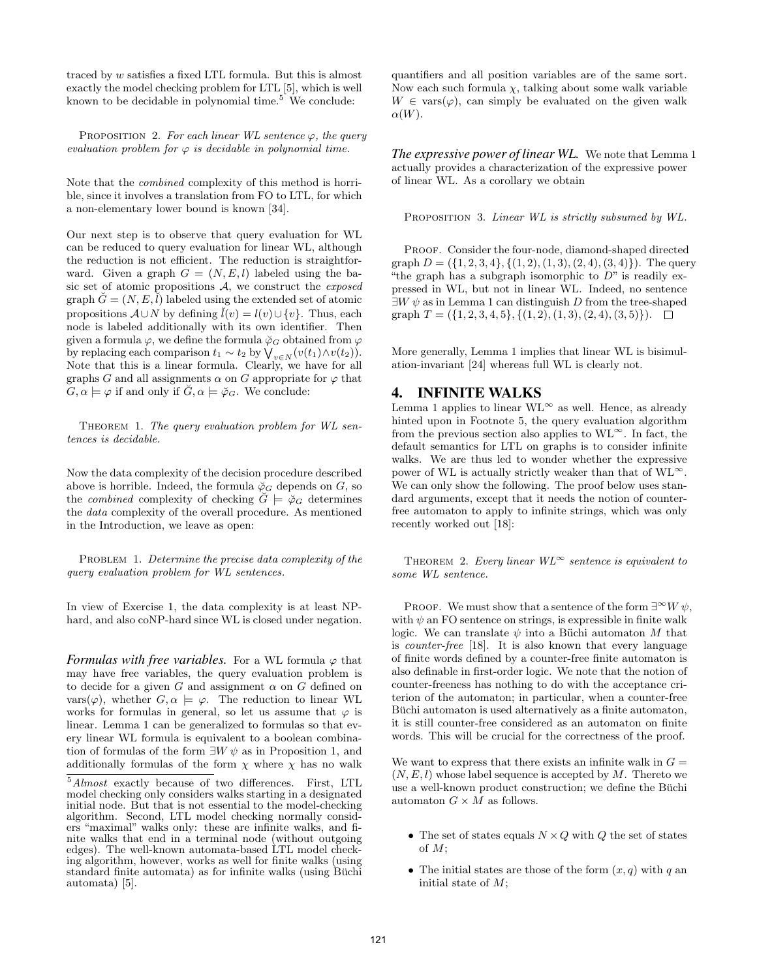traced by w satisfies a fixed LTL formula. But this is almost exactly the model checking problem for LTL [5], which is well known to be decidable in polynomial time.<sup>5</sup> We conclude:

PROPOSITION 2. For each linear WL sentence  $\varphi$ , the query evaluation problem for  $\varphi$  is decidable in polynomial time.

Note that the combined complexity of this method is horrible, since it involves a translation from FO to LTL, for which a non-elementary lower bound is known [34].

Our next step is to observe that query evaluation for WL can be reduced to query evaluation for linear WL, although the reduction is not efficient. The reduction is straightforward. Given a graph  $G = (N, E, l)$  labeled using the basic set of atomic propositions  $A$ , we construct the *exposed* graph  $\check{G} = (N, E, \check{l})$  labeled using the extended set of atomic propositions  $A\cup N$  by defining  $\tilde{l}(v) = l(v) \cup \{v\}$ . Thus, each node is labeled additionally with its own identifier. Then given a formula  $\varphi$ , we define the formula  $\varphi_G$  obtained from  $\varphi$ by replacing each comparison  $t_1 \sim t_2$  by  $\bigvee_{v \in N} (v(t_1) \wedge v(t_2)).$ Note that this is a linear formula. Clearly, we have for all graphs G and all assignments  $\alpha$  on G appropriate for  $\varphi$  that  $G, \alpha \models \varphi$  if and only if  $\check{G}, \alpha \models \check{\varphi}_G$ . We conclude:

THEOREM 1. The query evaluation problem for WL sentences is decidable.

Now the data complexity of the decision procedure described above is horrible. Indeed, the formula  $\phi_G$  depends on G, so the *combined* complexity of checking  $\check{G} \models \check{\varphi}_G$  determines the data complexity of the overall procedure. As mentioned in the Introduction, we leave as open:

PROBLEM 1. Determine the precise data complexity of the query evaluation problem for WL sentences.

In view of Exercise 1, the data complexity is at least NPhard, and also coNP-hard since WL is closed under negation.

*Formulas with free variables.* For a WL formula  $\varphi$  that may have free variables, the query evaluation problem is to decide for a given G and assignment  $\alpha$  on G defined on vars $(\varphi)$ , whether  $G, \alpha \models \varphi$ . The reduction to linear WL works for formulas in general, so let us assume that  $\varphi$  is linear. Lemma 1 can be generalized to formulas so that every linear WL formula is equivalent to a boolean combination of formulas of the form  $\exists W \psi$  as in Proposition 1, and additionally formulas of the form  $\chi$  where  $\chi$  has no walk quantifiers and all position variables are of the same sort. Now each such formula  $\chi$ , talking about some walk variable  $W \in \text{vars}(\varphi)$ , can simply be evaluated on the given walk  $\alpha(W)$ .

*The expressive power of linear WL.* We note that Lemma 1 actually provides a characterization of the expressive power of linear WL. As a corollary we obtain

PROPOSITION 3. Linear WL is strictly subsumed by WL.

PROOF. Consider the four-node, diamond-shaped directed graph  $D = (\{1, 2, 3, 4\}, \{(1, 2), (1, 3), (2, 4), (3, 4)\})$ . The query "the graph has a subgraph isomorphic to  $D$ " is readily expressed in WL, but not in linear WL. Indeed, no sentence  $\exists W \psi$  as in Lemma 1 can distinguish D from the tree-shaped graph  $T = (\{1, 2, 3, 4, 5\}, \{(1, 2), (1, 3), (2, 4), (3, 5)\})$ .

More generally, Lemma 1 implies that linear WL is bisimulation-invariant [24] whereas full WL is clearly not.

# 4. INFINITE WALKS

Lemma 1 applies to linear  $WL^{\infty}$  as well. Hence, as already hinted upon in Footnote 5, the query evaluation algorithm from the previous section also applies to  $WL^{\infty}$ . In fact, the default semantics for LTL on graphs is to consider infinite walks. We are thus led to wonder whether the expressive power of WL is actually strictly weaker than that of  $W L^{\infty}$ . We can only show the following. The proof below uses standard arguments, except that it needs the notion of counterfree automaton to apply to infinite strings, which was only recently worked out [18]:

THEOREM 2. Every linear  $WL^{\infty}$  sentence is equivalent to some WL sentence.

PROOF. We must show that a sentence of the form  $\exists^{\infty} W \psi$ , with  $\psi$  an FO sentence on strings, is expressible in finite walk logic. We can translate  $\psi$  into a Büchi automaton M that is counter-free [18]. It is also known that every language of finite words defined by a counter-free finite automaton is also definable in first-order logic. We note that the notion of counter-freeness has nothing to do with the acceptance criterion of the automaton; in particular, when a counter-free Buchi automaton is used alternatively as a finite automaton, it is still counter-free considered as an automaton on finite words. This will be crucial for the correctness of the proof.

We want to express that there exists an infinite walk in  $G =$  $(N, E, l)$  whose label sequence is accepted by M. Thereto we use a well-known product construction; we define the Büchi automaton  $G \times M$  as follows.

- The set of states equals  $N \times Q$  with Q the set of states of M;
- The initial states are those of the form  $(x, q)$  with q an initial state of  $M$ ;

<sup>5</sup>Almost exactly because of two differences. First, LTL model checking only considers walks starting in a designated initial node. But that is not essential to the model-checking algorithm. Second, LTL model checking normally considers "maximal" walks only: these are infinite walks, and finite walks that end in a terminal node (without outgoing edges). The well-known automata-based LTL model checking algorithm, however, works as well for finite walks (using standard finite automata) as for infinite walks (using Büchi automata) [5].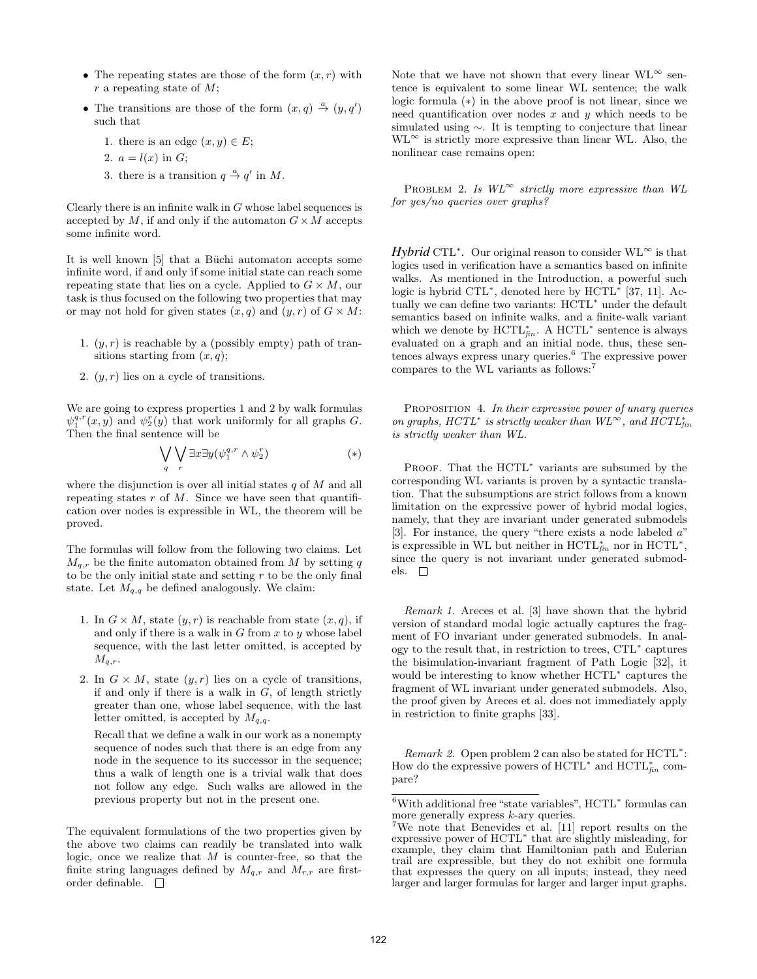- The repeating states are those of the form  $(x, r)$  with  $r$  a repeating state of  $M$ ;
- The transitions are those of the form  $(x, q) \stackrel{a}{\rightarrow} (y, q')$ such that
	- 1. there is an edge  $(x, y) \in E$ ;
	- 2.  $a = l(x)$  in G;
	- 3. there is a transition  $q \stackrel{a}{\rightarrow} q'$  in M.

Clearly there is an infinite walk in  $G$  whose label sequences is accepted by M, if and only if the automaton  $G \times M$  accepts some infinite word.

It is well known  $[5]$  that a Büchi automaton accepts some infinite word, if and only if some initial state can reach some repeating state that lies on a cycle. Applied to  $G \times M$ , our task is thus focused on the following two properties that may or may not hold for given states  $(x, q)$  and  $(y, r)$  of  $G \times M$ :

- 1.  $(y, r)$  is reachable by a (possibly empty) path of transitions starting from  $(x, q)$ ;
- 2.  $(y, r)$  lies on a cycle of transitions.

We are going to express properties 1 and 2 by walk formulas  $\psi_1^{q,r}(x, y)$  and  $\psi_2^r(y)$  that work uniformly for all graphs G. Then the final sentence will be

$$
\bigvee_{q} \bigvee_{r} \exists x \exists y (\psi_1^{q,r} \wedge \psi_2^r) \tag{*}
$$

where the disjunction is over all initial states  $q$  of  $M$  and all repeating states  $r$  of  $M$ . Since we have seen that quantification over nodes is expressible in WL, the theorem will be proved.

The formulas will follow from the following two claims. Let  $M_{q,r}$  be the finite automaton obtained from M by setting q to be the only initial state and setting  $r$  to be the only final state. Let  $M_{q,q}$  be defined analogously. We claim:

- 1. In  $G \times M$ , state  $(y, r)$  is reachable from state  $(x, q)$ , if and only if there is a walk in  $G$  from  $x$  to  $y$  whose label sequence, with the last letter omitted, is accepted by  $M_{q,r}$ .
- 2. In  $G \times M$ , state  $(y, r)$  lies on a cycle of transitions, if and only if there is a walk in  $G$ , of length strictly greater than one, whose label sequence, with the last letter omitted, is accepted by  $M_{q,q}$ .

Recall that we define a walk in our work as a nonempty sequence of nodes such that there is an edge from any node in the sequence to its successor in the sequence; thus a walk of length one is a trivial walk that does not follow any edge. Such walks are allowed in the previous property but not in the present one.

The equivalent formulations of the two properties given by the above two claims can readily be translated into walk logic, once we realize that  $M$  is counter-free, so that the finite string languages defined by  $M_{q,r}$  and  $M_{r,r}$  are firstorder definable.  $\quad \Box$ 

Note that we have not shown that every linear  $\text{WL}^{\infty}$  sentence is equivalent to some linear WL sentence; the walk logic formula (∗) in the above proof is not linear, since we need quantification over nodes  $x$  and  $y$  which needs to be simulated using ∼. It is tempting to conjecture that linear  $WL^{\infty}$  is strictly more expressive than linear WL. Also, the nonlinear case remains open:

PROBLEM 2. Is  $WL^{\infty}$  strictly more expressive than WL for yes/no queries over graphs?

*Hybrid* CTL<sup>\*</sup>. Our original reason to consider WL<sup>∞</sup> is that logics used in verification have a semantics based on infinite walks. As mentioned in the Introduction, a powerful such logic is hybrid CTL<sup>\*</sup>, denoted here by HCTL<sup>\*</sup> [37, 11]. Actually we can define two variants: HCTL<sup>∗</sup> under the default semantics based on infinite walks, and a finite-walk variant which we denote by  $\text{HCTL}^*_{fin}$ . A  $\text{HCTL}^*$  sentence is always evaluated on a graph and an initial node, thus, these sentences always express unary queries.<sup>6</sup> The expressive power compares to the WL variants as follows:<sup>7</sup>

PROPOSITION 4. In their expressive power of unary queries on graphs, HCTL<sup>\*</sup> is strictly weaker than  $WL^{\infty}$ , and  $HCTL^*_{fin}$ is strictly weaker than WL.

PROOF. That the HCTL<sup>\*</sup> variants are subsumed by the corresponding WL variants is proven by a syntactic translation. That the subsumptions are strict follows from a known limitation on the expressive power of hybrid modal logics, namely, that they are invariant under generated submodels [3]. For instance, the query "there exists a node labeled a" is expressible in WL but neither in  $\text{HCTL}_{fin}^*$  nor in  $\text{HCTL}^*$ , since the query is not invariant under generated submodels.  $\square$ 

Remark 1. Areces et al. [3] have shown that the hybrid version of standard modal logic actually captures the fragment of FO invariant under generated submodels. In analogy to the result that, in restriction to trees, CTL<sup>∗</sup> captures the bisimulation-invariant fragment of Path Logic [32], it would be interesting to know whether HCTL<sup>\*</sup> captures the fragment of WL invariant under generated submodels. Also, the proof given by Areces et al. does not immediately apply in restriction to finite graphs [33].

Remark 2. Open problem 2 can also be stated for HCTL<sup>\*</sup>: How do the expressive powers of  $HCTL^*$  and  $HCTL^*_{fin}$  compare?

 $6$ With additional free "state variables",  $HCTL^*$  formulas can more generally express  $k$ -ary queries.

<sup>7</sup>We note that Benevides et al. [11] report results on the expressive power of HCTL<sup>∗</sup> that are slightly misleading, for example, they claim that Hamiltonian path and Eulerian trail are expressible, but they do not exhibit one formula that expresses the query on all inputs; instead, they need larger and larger formulas for larger and larger input graphs.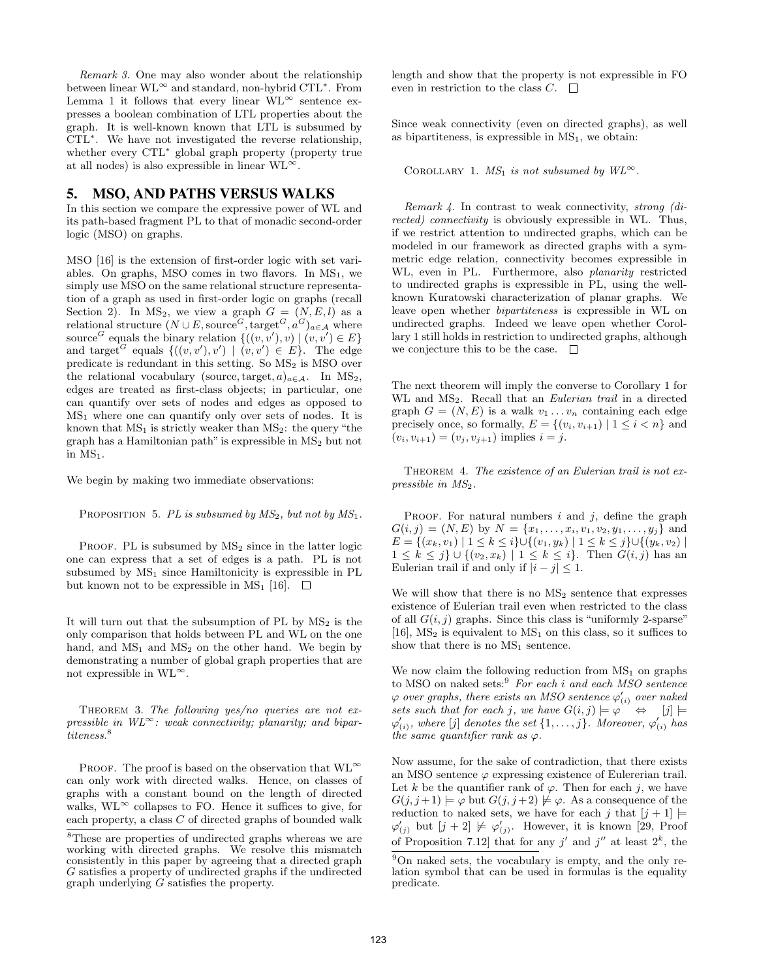Remark 3. One may also wonder about the relationship between linear WL<sup>∞</sup> and standard, non-hybrid CTL<sup>∗</sup> . From Lemma 1 it follows that every linear  $WL^{\infty}$  sentence expresses a boolean combination of LTL properties about the graph. It is well-known known that LTL is subsumed by CTL<sup>∗</sup> . We have not investigated the reverse relationship, whether every CTL<sup>\*</sup> global graph property (property true at all nodes) is also expressible in linear  $\text{WL}^{\infty}$ .

# 5. MSO, AND PATHS VERSUS WALKS

In this section we compare the expressive power of WL and its path-based fragment PL to that of monadic second-order logic (MSO) on graphs.

MSO [16] is the extension of first-order logic with set variables. On graphs, MSO comes in two flavors. In  $MS<sub>1</sub>$ , we simply use MSO on the same relational structure representation of a graph as used in first-order logic on graphs (recall Section 2). In MS<sub>2</sub>, we view a graph  $G = (N, E, l)$  as a relational structure  $(N \cup E, \text{source}^G, \text{target}^G, a^G)_{a \in \mathcal{A}}$  where source<sup>G</sup> equals the binary relation  $\{((v, v'), v) | (v, v') \in E\}$ and target <sup>G</sup> equals  $\{((v, v'), v') | (v, v') \in E\}$ . The edge predicate is redundant in this setting. So  $MS<sub>2</sub>$  is  $MSO$  over the relational vocabulary (source, target,  $a)_{a \in \mathcal{A}}$ . In MS<sub>2</sub>, edges are treated as first-class objects; in particular, one can quantify over sets of nodes and edges as opposed to  $MS<sub>1</sub>$  where one can quantify only over sets of nodes. It is known that  $MS_1$  is strictly weaker than  $MS_2$ : the query "the graph has a Hamiltonian path" is expressible in  $MS<sub>2</sub>$  but not in  $MS<sub>1</sub>$ .

We begin by making two immediate observations:

PROPOSITION 5. PL is subsumed by  $MS_2$ , but not by  $MS_1$ .

PROOF. PL is subsumed by  $MS<sub>2</sub>$  since in the latter logic one can express that a set of edges is a path. PL is not subsumed by  $MS<sub>1</sub>$  since Hamiltonicity is expressible in PL but known not to be expressible in MS<sub>1</sub> [16].  $\Box$ 

It will turn out that the subsumption of  $PL$  by  $MS<sub>2</sub>$  is the only comparison that holds between PL and WL on the one hand, and  $MS_1$  and  $MS_2$  on the other hand. We begin by demonstrating a number of global graph properties that are not expressible in  $\text{WL}^{\infty}$ .

THEOREM 3. The following  $yes/no$  queries are not expressible in  $WL^{\infty}$ : weak connectivity; planarity; and bipartiteness.<sup>8</sup>

PROOF. The proof is based on the observation that  $WL^{\infty}$ can only work with directed walks. Hence, on classes of graphs with a constant bound on the length of directed walks,  $WL^{\infty}$  collapses to FO. Hence it suffices to give, for each property, a class C of directed graphs of bounded walk length and show that the property is not expressible in FO even in restriction to the class  $C. \square$ 

Since weak connectivity (even on directed graphs), as well as bipartiteness, is expressible in  $MS<sub>1</sub>$ , we obtain:

COROLLARY 1.  $MS_1$  is not subsumed by  $W L^{\infty}$ .

Remark 4. In contrast to weak connectivity, strong (directed) connectivity is obviously expressible in WL. Thus, if we restrict attention to undirected graphs, which can be modeled in our framework as directed graphs with a symmetric edge relation, connectivity becomes expressible in WL, even in PL. Furthermore, also planarity restricted to undirected graphs is expressible in PL, using the wellknown Kuratowski characterization of planar graphs. We leave open whether bipartiteness is expressible in WL on undirected graphs. Indeed we leave open whether Corollary 1 still holds in restriction to undirected graphs, although we conjecture this to be the case.  $\Box$ 

The next theorem will imply the converse to Corollary 1 for WL and MS<sub>2</sub>. Recall that an *Eulerian trail* in a directed graph  $G = (N, E)$  is a walk  $v_1 \dots v_n$  containing each edge precisely once, so formally,  $E = \{(v_i, v_{i+1}) \mid 1 \leq i \leq n\}$  and  $(v_i, v_{i+1}) = (v_j, v_{j+1})$  implies  $i = j$ .

THEOREM 4. The existence of an Eulerian trail is not expressible in  $MS<sub>2</sub>$ .

PROOF. For natural numbers  $i$  and  $j$ , define the graph  $G(i, j) = (N, E)$  by  $N = \{x_1, \ldots, x_i, v_1, v_2, y_1, \ldots, y_j\}$  and  $E = \{(x_k, v_1) | 1 \leq k \leq i\} \cup \{(v_1, y_k) | 1 \leq k \leq j\} \cup \{(y_k, v_2) |$  $1 \leq k \leq j$   $\cup$   $\{(v_2, x_k) \mid 1 \leq k \leq i\}$ . Then  $G(i, j)$  has an Eulerian trail if and only if  $|i - j| \leq 1$ .

We will show that there is no  $MS<sub>2</sub>$  sentence that expresses existence of Eulerian trail even when restricted to the class of all  $G(i, j)$  graphs. Since this class is "uniformly 2-sparse" [16],  $MS<sub>2</sub>$  is equivalent to  $MS<sub>1</sub>$  on this class, so it suffices to show that there is no  $MS<sub>1</sub>$  sentence.

We now claim the following reduction from  $MS<sub>1</sub>$  on graphs to MSO on naked sets:<sup>9</sup> For each i and each MSO sentence  $\varphi$  over graphs, there exists an MSO sentence  $\varphi_{(i)}'$  over naked sets such that for each j, we have  $G(i, j) \models \varphi \Rightarrow [j] \models$  $\varphi'_{(i)}$ , where [j] denotes the set  $\{1,\ldots,j\}$ . Moreover,  $\varphi'_{(i)}$  has the same quantifier rank as  $\varphi$ .

Now assume, for the sake of contradiction, that there exists an MSO sentence  $\varphi$  expressing existence of Eulererian trail. Let k be the quantifier rank of  $\varphi$ . Then for each j, we have  $G(j, j+1) \models \varphi$  but  $G(j, j+2) \not\models \varphi$ . As a consequence of the reduction to naked sets, we have for each j that  $[j + 1] \models$  $\varphi'_{(j)}$  but  $[j+2] \not\models \varphi'_{(j)}$ . However, it is known [29, Proof of Proposition 7.12 that for any j' and j'' at least  $2^k$ , the

<sup>8</sup>These are properties of undirected graphs whereas we are working with directed graphs. We resolve this mismatch consistently in this paper by agreeing that a directed graph G satisfies a property of undirected graphs if the undirected graph underlying G satisfies the property.

<sup>9</sup>On naked sets, the vocabulary is empty, and the only relation symbol that can be used in formulas is the equality predicate.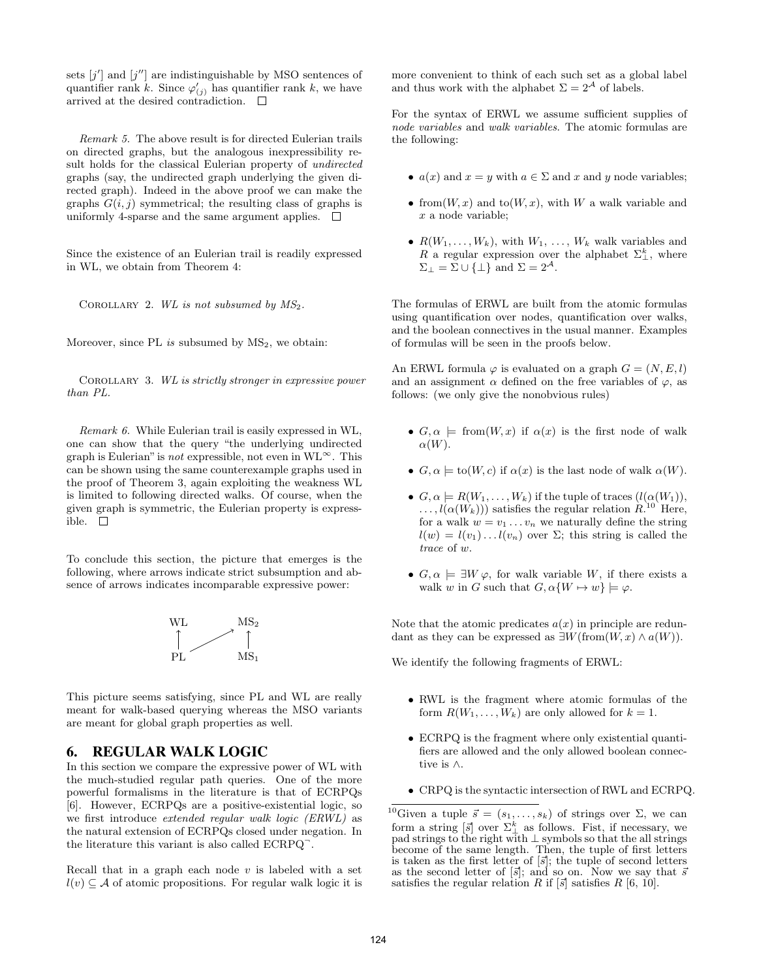sets  $[j']$  and  $[j'']$  are indistinguishable by MSO sentences of quantifier rank k. Since  $\varphi'_{(j)}$  has quantifier rank k, we have arrived at the desired contradiction.  $\Box$ 

Remark 5. The above result is for directed Eulerian trails on directed graphs, but the analogous inexpressibility result holds for the classical Eulerian property of undirected graphs (say, the undirected graph underlying the given directed graph). Indeed in the above proof we can make the graphs  $G(i, j)$  symmetrical; the resulting class of graphs is uniformly 4-sparse and the same argument applies.  $\Box$ 

Since the existence of an Eulerian trail is readily expressed in WL, we obtain from Theorem 4:

COROLLARY 2. WL is not subsumed by  $MS_2$ .

Moreover, since PL is subsumed by  $MS<sub>2</sub>$ , we obtain:

Corollary 3. WL is strictly stronger in expressive power than PL.

Remark 6. While Eulerian trail is easily expressed in WL, one can show that the query "the underlying undirected graph is Eulerian" is *not* expressible, not even in  $WL^{\infty}$ . This can be shown using the same counterexample graphs used in the proof of Theorem 3, again exploiting the weakness WL is limited to following directed walks. Of course, when the given graph is symmetric, the Eulerian property is expressible. □

To conclude this section, the picture that emerges is the following, where arrows indicate strict subsumption and absence of arrows indicates incomparable expressive power:



This picture seems satisfying, since PL and WL are really meant for walk-based querying whereas the MSO variants are meant for global graph properties as well.

# 6. REGULAR WALK LOGIC

In this section we compare the expressive power of WL with the much-studied regular path queries. One of the more powerful formalisms in the literature is that of ECRPQs [6]. However, ECRPQs are a positive-existential logic, so we first introduce extended regular walk logic (ERWL) as the natural extension of ECRPQs closed under negation. In the literature this variant is also called ECRPQ<sup>-</sup>.

Recall that in a graph each node  $v$  is labeled with a set  $l(v) \subseteq A$  of atomic propositions. For regular walk logic it is more convenient to think of each such set as a global label and thus work with the alphabet  $\Sigma = 2^{\mathcal{A}}$  of labels.

For the syntax of ERWL we assume sufficient supplies of node variables and walk variables. The atomic formulas are the following:

- $a(x)$  and  $x = y$  with  $a \in \Sigma$  and x and y node variables;
- from  $(W, x)$  and to  $(W, x)$ , with W a walk variable and  $x$  a node variable;
- $R(W_1, \ldots, W_k)$ , with  $W_1, \ldots, W_k$  walk variables and R a regular expression over the alphabet  $\Sigma_{\perp}^k$ , where  $\Sigma_\perp = \Sigma \cup \{\perp\}$  and  $\Sigma = 2^\mathcal{A}.$

The formulas of ERWL are built from the atomic formulas using quantification over nodes, quantification over walks, and the boolean connectives in the usual manner. Examples of formulas will be seen in the proofs below.

An ERWL formula  $\varphi$  is evaluated on a graph  $G = (N, E, l)$ and an assignment  $\alpha$  defined on the free variables of  $\varphi$ , as follows: (we only give the nonobvious rules)

- $G, \alpha \models \text{from}(W, x)$  if  $\alpha(x)$  is the first node of walk  $\alpha(W)$ .
- $G, \alpha \models$  to(W, c) if  $\alpha(x)$  is the last node of walk  $\alpha(W)$ .
- $G, \alpha \models R(W_1, \ldots, W_k)$  if the tuple of traces  $(l(\alpha(W_1)),$  $\ldots, l(\alpha(W_k)))$  satisfies the regular relation  $R^{10}$  Here, for a walk  $w = v_1 \dots v_n$  we naturally define the string  $l(w) = l(v_1) \dots l(v_n)$  over  $\Sigma$ ; this string is called the trace of w.
- $G, \alpha \models \exists W \varphi$ , for walk variable W, if there exists a walk w in G such that  $G, \alpha \{W \mapsto w\} \models \varphi$ .

Note that the atomic predicates  $a(x)$  in principle are redundant as they can be expressed as  $\exists W(\text{from}(W, x) \wedge a(W)).$ 

We identify the following fragments of ERWL:

- RWL is the fragment where atomic formulas of the form  $R(W_1, \ldots, W_k)$  are only allowed for  $k = 1$ .
- ECRPQ is the fragment where only existential quantifiers are allowed and the only allowed boolean connective is ∧.
- CRPQ is the syntactic intersection of RWL and ECRPQ.

<sup>&</sup>lt;sup>10</sup>Given a tuple  $\vec{s} = (s_1, \ldots, s_k)$  of strings over  $\Sigma$ , we can form a string  $\left[\vec{s}\right]$  over  $\Sigma_{\perp}^{k}$  as follows. Fist, if necessary, we pad strings to the right with  $\perp$  symbols so that the all strings become of the same length. Then, the tuple of first letters is taken as the first letter of  $\lbrack \vec{s} \rbrack$ ; the tuple of second letters as the second letter of  $[\vec{s}]$ ; and so on. Now we say that  $\bar{s}$ satisfies the regular relation R if  $[\vec{s}]$  satisfies R  $[6, 10]$ .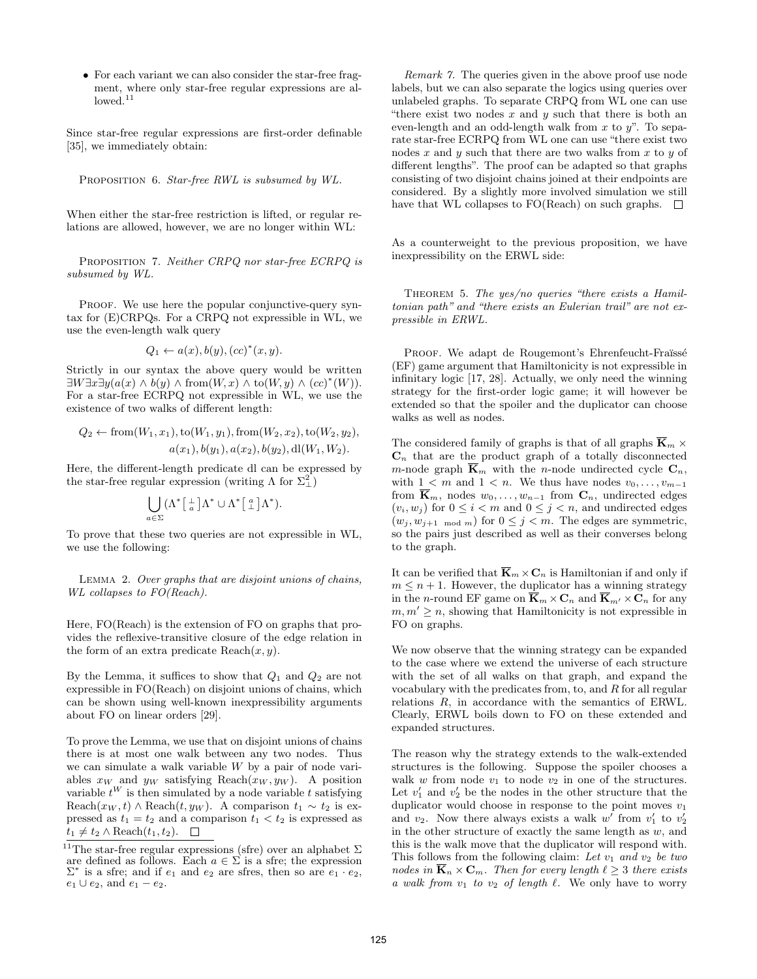• For each variant we can also consider the star-free fragment, where only star-free regular expressions are allowed.<sup>11</sup>

Since star-free regular expressions are first-order definable [35], we immediately obtain:

PROPOSITION 6. Star-free RWL is subsumed by WL.

When either the star-free restriction is lifted, or regular relations are allowed, however, we are no longer within WL:

PROPOSITION 7. Neither CRPQ nor star-free ECRPQ is subsumed by WL.

PROOF. We use here the popular conjunctive-query syntax for (E)CRPQs. For a CRPQ not expressible in WL, we use the even-length walk query

$$
Q_1 \leftarrow a(x), b(y), (cc)^*(x, y).
$$

Strictly in our syntax the above query would be written  $\exists W \exists x \exists y (a(x) \land b(y) \land \text{from}(W, x) \land \text{to}(W, y) \land (cc)^{*}(W)).$ For a star-free ECRPQ not expressible in WL, we use the existence of two walks of different length:

$$
Q_2 \leftarrow from(W_1, x_1), to(W_1, y_1), from(W_2, x_2), to(W_2, y_2),
$$
  

$$
a(x_1), b(y_1), a(x_2), b(y_2), d(W_1, W_2).
$$

Here, the different-length predicate dl can be expressed by the star-free regular expression (writing  $\Lambda$  for  $\Sigma_{\perp}^2$ )

$$
\bigcup_{a \in \Sigma} (\Lambda^* \left[ \frac{1}{a} \right] \Lambda^* \cup \Lambda^* \left[ \frac{a}{\perp} \right] \Lambda^*).
$$

To prove that these two queries are not expressible in WL, we use the following:

Lemma 2. Over graphs that are disjoint unions of chains, WL collapses to FO(Reach).

Here, FO(Reach) is the extension of FO on graphs that provides the reflexive-transitive closure of the edge relation in the form of an extra predicate  $\text{Reach}(x, y)$ .

By the Lemma, it suffices to show that  $Q_1$  and  $Q_2$  are not expressible in FO(Reach) on disjoint unions of chains, which can be shown using well-known inexpressibility arguments about FO on linear orders [29].

To prove the Lemma, we use that on disjoint unions of chains there is at most one walk between any two nodes. Thus we can simulate a walk variable W by a pair of node variables  $x_W$  and  $y_W$  satisfying Reach $(x_W, y_W)$ . A position variable  $t^W$  is then simulated by a node variable t satisfying Reach $(x_W, t)$  ∧ Reach $(t, y_W)$ . A comparison  $t_1 \sim t_2$  is expressed as  $t_1 = t_2$  and a comparison  $t_1 < t_2$  is expressed as  $t_1 \neq t_2 \wedge \text{Reach}(t_1, t_2).$ 

Remark 7. The queries given in the above proof use node labels, but we can also separate the logics using queries over unlabeled graphs. To separate CRPQ from WL one can use "there exist two nodes  $x$  and  $y$  such that there is both an even-length and an odd-length walk from  $x$  to  $y$ ". To separate star-free ECRPQ from WL one can use "there exist two nodes  $x$  and  $y$  such that there are two walks from  $x$  to  $y$  of different lengths". The proof can be adapted so that graphs consisting of two disjoint chains joined at their endpoints are considered. By a slightly more involved simulation we still have that WL collapses to FO(Reach) on such graphs.  $\square$ 

As a counterweight to the previous proposition, we have inexpressibility on the ERWL side:

THEOREM 5. The yes/no queries "there exists a Hamiltonian path" and "there exists an Eulerian trail" are not expressible in ERWL.

PROOF. We adapt de Rougemont's Ehrenfeucht-Fraüssé (EF) game argument that Hamiltonicity is not expressible in infinitary logic [17, 28]. Actually, we only need the winning strategy for the first-order logic game; it will however be extended so that the spoiler and the duplicator can choose walks as well as nodes.

The considered family of graphs is that of all graphs  $\overline{\mathbf{K}}_m$  ×  $\mathbf{C}_n$  that are the product graph of a totally disconnected m-node graph  $\overline{\mathbf{K}}_m$  with the n-node undirected cycle  $\mathbf{C}_n$ , with  $1 < m$  and  $1 < n$ . We thus have nodes  $v_0, \ldots, v_{m-1}$ from  $\mathbf{K}_m$ , nodes  $w_0, \ldots, w_{n-1}$  from  $\mathbf{C}_n$ , undirected edges  $(v_i, w_j)$  for  $0 \leq i < m$  and  $0 \leq j < n$ , and undirected edges  $(w_j, w_{j+1 \mod m})$  for  $0 \leq j < m$ . The edges are symmetric, so the pairs just described as well as their converses belong to the graph.

It can be verified that  $\overline{\mathbf{K}}_m \times \mathbf{C}_n$  is Hamiltonian if and only if  $m \leq n+1$ . However, the duplicator has a winning strategy in the *n*-round EF game on  $\overline{\mathbf{K}}_m \times \mathbf{C}_n$  and  $\overline{\mathbf{K}}_{m'} \times \mathbf{C}_n$  for any  $m, m' \geq n$ , showing that Hamiltonicity is not expressible in FO on graphs.

We now observe that the winning strategy can be expanded to the case where we extend the universe of each structure with the set of all walks on that graph, and expand the vocabulary with the predicates from, to, and R for all regular relations R, in accordance with the semantics of ERWL. Clearly, ERWL boils down to FO on these extended and expanded structures.

The reason why the strategy extends to the walk-extended structures is the following. Suppose the spoiler chooses a walk w from node  $v_1$  to node  $v_2$  in one of the structures. Let  $v'_1$  and  $v'_2$  be the nodes in the other structure that the duplicator would choose in response to the point moves  $v_1$ and  $v_2$ . Now there always exists a walk w' from  $v'_1$  to  $v'_2$ in the other structure of exactly the same length as  $w$ , and this is the walk move that the duplicator will respond with. This follows from the following claim: Let  $v_1$  and  $v_2$  be two nodes in  $\overline{\mathbf{K}}_n \times \mathbf{C}_m$ . Then for every length  $\ell \geq 3$  there exists a walk from  $v_1$  to  $v_2$  of length  $\ell$ . We only have to worry

 $^{11}{\rm The}$  star-free regular expressions (sfre) over an alphabet  $\Sigma$ are defined as follows. Each  $a \in \Sigma$  is a sfre; the expression  $\Sigma^*$  is a sfre; and if  $e_1$  and  $e_2$  are sfres, then so are  $e_1 \cdot e_2$ ,  $e_1 \cup e_2$ , and  $e_1 - e_2$ .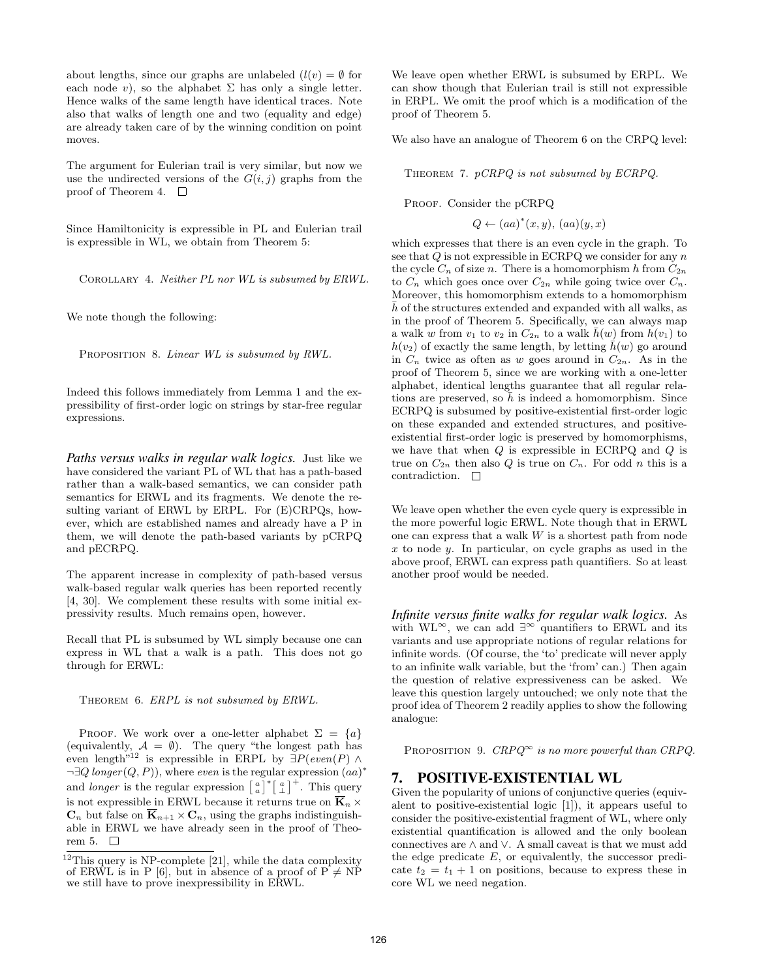about lengths, since our graphs are unlabeled  $(l(v) = \emptyset$  for each node v), so the alphabet  $\Sigma$  has only a single letter. Hence walks of the same length have identical traces. Note also that walks of length one and two (equality and edge) are already taken care of by the winning condition on point moves.

The argument for Eulerian trail is very similar, but now we use the undirected versions of the  $G(i, j)$  graphs from the proof of Theorem 4.  $\Box$ 

Since Hamiltonicity is expressible in PL and Eulerian trail is expressible in WL, we obtain from Theorem 5:

Corollary 4. Neither PL nor WL is subsumed by ERWL.

We note though the following:

PROPOSITION 8. Linear WL is subsumed by RWL.

Indeed this follows immediately from Lemma 1 and the expressibility of first-order logic on strings by star-free regular expressions.

*Paths versus walks in regular walk logics.* Just like we have considered the variant PL of WL that has a path-based rather than a walk-based semantics, we can consider path semantics for ERWL and its fragments. We denote the resulting variant of ERWL by ERPL. For (E)CRPQs, however, which are established names and already have a P in them, we will denote the path-based variants by pCRPQ and pECRPQ.

The apparent increase in complexity of path-based versus walk-based regular walk queries has been reported recently [4, 30]. We complement these results with some initial expressivity results. Much remains open, however.

Recall that PL is subsumed by WL simply because one can express in WL that a walk is a path. This does not go through for ERWL:

THEOREM 6. ERPL is not subsumed by ERWL.

PROOF. We work over a one-letter alphabet  $\Sigma = \{a\}$ (equivalently,  $A = \emptyset$ ). The query "the longest path has even length<sup>"12</sup> is expressible in ERPL by  $\exists P(even(P) \land$  $\neg \exists Q \; longer(Q, P)$ , where even is the regular expression  $(aa)^*$ and *longer* is the regular expression  $\begin{bmatrix} a \\ a \end{bmatrix}^* \begin{bmatrix} a \\ \perp \end{bmatrix}^+$ . This query is not expressible in ERWL because it returns true on  $\overline{K}_n$  ×  $\mathbf{C}_n$  but false on  $\overline{\mathbf{K}}_{n+1} \times \mathbf{C}_n$ , using the graphs indistinguishable in ERWL we have already seen in the proof of Theorem 5.  $\quad \Box$ 

We leave open whether ERWL is subsumed by ERPL. We can show though that Eulerian trail is still not expressible in ERPL. We omit the proof which is a modification of the proof of Theorem 5.

We also have an analogue of Theorem 6 on the CRPQ level:

THEOREM 7. pCRPQ is not subsumed by ECRPQ.

PROOF. Consider the pCRPQ

 $Q \leftarrow (aa)^*(x, y), (aa)(y, x)$ 

which expresses that there is an even cycle in the graph. To see that  $Q$  is not expressible in ECRPQ we consider for any  $n$ the cycle  $C_n$  of size n. There is a homomorphism h from  $C_{2n}$ to  $C_n$  which goes once over  $C_{2n}$  while going twice over  $C_n$ . Moreover, this homomorphism extends to a homomorphism  $\bar{h}$  of the structures extended and expanded with all walks, as in the proof of Theorem 5. Specifically, we can always map a walk w from  $v_1$  to  $v_2$  in  $C_{2n}$  to a walk  $\bar{h}(w)$  from  $h(v_1)$  to  $h(v_2)$  of exactly the same length, by letting  $\bar{h}(w)$  go around in  $C_n$  twice as often as w goes around in  $C_{2n}$ . As in the proof of Theorem 5, since we are working with a one-letter alphabet, identical lengths guarantee that all regular relations are preserved, so  $h$  is indeed a homomorphism. Since ECRPQ is subsumed by positive-existential first-order logic on these expanded and extended structures, and positiveexistential first-order logic is preserved by homomorphisms, we have that when  $Q$  is expressible in ECRPQ and  $Q$  is true on  $C_{2n}$  then also Q is true on  $C_n$ . For odd n this is a contradiction.  $\square$ 

We leave open whether the even cycle query is expressible in the more powerful logic ERWL. Note though that in ERWL one can express that a walk W is a shortest path from node x to node y. In particular, on cycle graphs as used in the above proof, ERWL can express path quantifiers. So at least another proof would be needed.

*Infinite versus finite walks for regular walk logics.* As with  $WL^{\infty}$ , we can add  $\exists^{\infty}$  quantifiers to ERWL and its variants and use appropriate notions of regular relations for infinite words. (Of course, the 'to' predicate will never apply to an infinite walk variable, but the 'from' can.) Then again the question of relative expressiveness can be asked. We leave this question largely untouched; we only note that the proof idea of Theorem 2 readily applies to show the following analogue:

PROPOSITION 9.  $CRPQ^{\infty}$  is no more powerful than CRPQ.

# 7. POSITIVE-EXISTENTIAL WL

Given the popularity of unions of conjunctive queries (equivalent to positive-existential logic [1]), it appears useful to consider the positive-existential fragment of WL, where only existential quantification is allowed and the only boolean connectives are ∧ and ∨. A small caveat is that we must add the edge predicate  $E$ , or equivalently, the successor predicate  $t_2 = t_1 + 1$  on positions, because to express these in core WL we need negation.

 $12$ This query is NP-complete [21], while the data complexity of ERWL is in P [6], but in absence of a proof of  $P \neq NP$ we still have to prove inexpressibility in ERWL.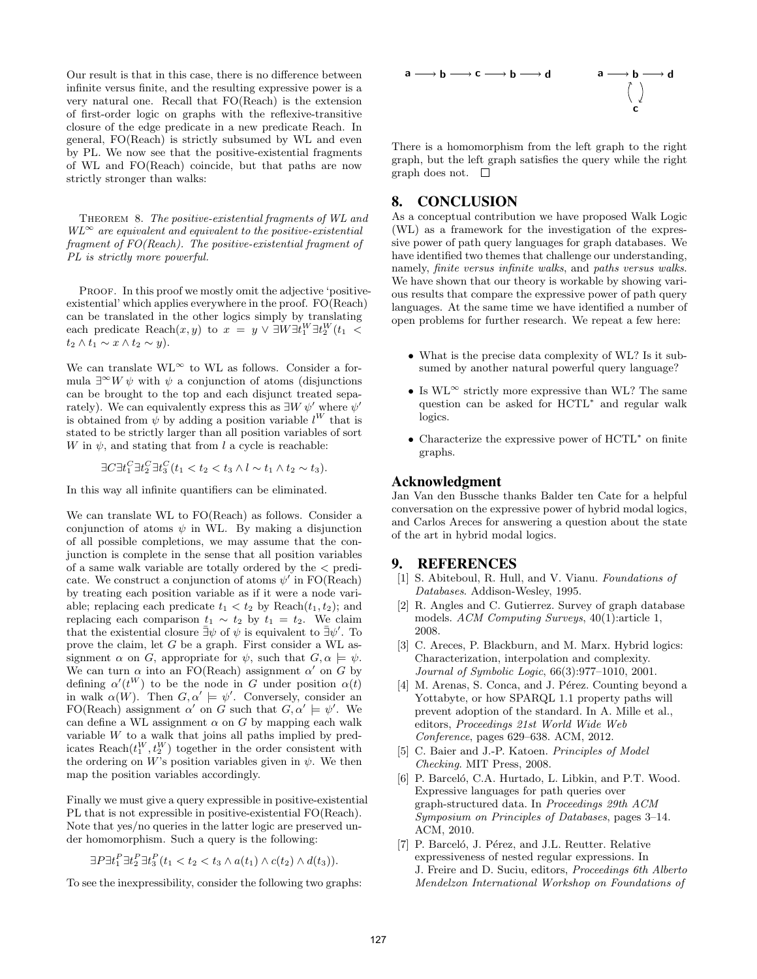Our result is that in this case, there is no difference between infinite versus finite, and the resulting expressive power is a very natural one. Recall that FO(Reach) is the extension of first-order logic on graphs with the reflexive-transitive closure of the edge predicate in a new predicate Reach. In general, FO(Reach) is strictly subsumed by WL and even by PL. We now see that the positive-existential fragments of WL and FO(Reach) coincide, but that paths are now strictly stronger than walks:

THEOREM 8. The positive-existential fragments of WL and  $WL^{\infty}$  are equivalent and equivalent to the positive-existential fragment of FO(Reach). The positive-existential fragment of PL is strictly more powerful.

PROOF. In this proof we mostly omit the adjective 'positiveexistential' which applies everywhere in the proof. FO(Reach) can be translated in the other logics simply by translating each predicate  $\text{Reach}(x, y)$  to  $x = y \lor \exists W \exists t_1^W \exists t_2^W(t_1 \leq$  $t_2 \wedge t_1 \sim x \wedge t_2 \sim y$ ).

We can translate  $\text{WL}^{\infty}$  to WL as follows. Consider a formula  $\exists^{\infty} W \psi$  with  $\psi$  a conjunction of atoms (disjunctions can be brought to the top and each disjunct treated separately). We can equivalently express this as  $\exists W \psi'$  where  $\psi'$ is obtained from  $\psi$  by adding a position variable  $l^W$  that is stated to be strictly larger than all position variables of sort W in  $\psi$ , and stating that from l a cycle is reachable:

 $\exists C \exists t_1^C \exists t_2^C \exists t_3^C (t_1 < t_2 < t_3 \land l \sim t_1 \land t_2 \sim t_3).$ 

In this way all infinite quantifiers can be eliminated.

We can translate WL to FO(Reach) as follows. Consider a conjunction of atoms  $\psi$  in WL. By making a disjunction of all possible completions, we may assume that the conjunction is complete in the sense that all position variables of a same walk variable are totally ordered by the < predicate. We construct a conjunction of atoms  $\psi'$  in FO(Reach) by treating each position variable as if it were a node variable; replacing each predicate  $t_1 < t_2$  by Reach $(t_1, t_2)$ ; and replacing each comparison  $t_1 \sim t_2$  by  $t_1 = t_2$ . We claim that the existential closure  $\bar{\exists}\psi$  of  $\psi$  is equivalent to  $\bar{\exists}\psi'$ . To prove the claim, let G be a graph. First consider a WL assignment  $\alpha$  on G, appropriate for  $\psi$ , such that  $G, \alpha \models \psi$ . We can turn  $\alpha$  into an FO(Reach) assignment  $\alpha'$  on G by defining  $\alpha'(t^W)$  to be the node in G under position  $\alpha(t)$ in walk  $\alpha(W)$ . Then  $G, \alpha' \models \psi'$ . Conversely, consider an FO(Reach) assignment  $\alpha'$  on G such that  $G, \alpha' \models \psi'$ . We can define a WL assignment  $\alpha$  on G by mapping each walk variable  $W$  to a walk that joins all paths implied by predicates Reach $(t_1^W, t_2^W)$  together in the order consistent with the ordering on W's position variables given in  $\psi$ . We then map the position variables accordingly.

Finally we must give a query expressible in positive-existential PL that is not expressible in positive-existential FO(Reach). Note that yes/no queries in the latter logic are preserved under homomorphism. Such a query is the following:

$$
\exists P \exists t_1^P \exists t_2^P \exists t_3^P(t_1 < t_2 < t_3 \land a(t_1) \land c(t_2) \land d(t_3)).
$$

To see the inexpressibility, consider the following two graphs:



There is a homomorphism from the left graph to the right graph, but the left graph satisfies the query while the right graph does not.  $\square$ 

# 8. CONCLUSION

As a conceptual contribution we have proposed Walk Logic (WL) as a framework for the investigation of the expressive power of path query languages for graph databases. We have identified two themes that challenge our understanding, namely, finite versus infinite walks, and paths versus walks. We have shown that our theory is workable by showing various results that compare the expressive power of path query languages. At the same time we have identified a number of open problems for further research. We repeat a few here:

- What is the precise data complexity of WL? Is it subsumed by another natural powerful query language?
- Is  $WL^{\infty}$  strictly more expressive than WL? The same question can be asked for HCTL<sup>∗</sup> and regular walk logics.
- Characterize the expressive power of HCTL<sup>∗</sup> on finite graphs.

#### Acknowledgment

Jan Van den Bussche thanks Balder ten Cate for a helpful conversation on the expressive power of hybrid modal logics, and Carlos Areces for answering a question about the state of the art in hybrid modal logics.

## 9. REFERENCES

- [1] S. Abiteboul, R. Hull, and V. Vianu. Foundations of Databases. Addison-Wesley, 1995.
- [2] R. Angles and C. Gutierrez. Survey of graph database models. ACM Computing Surveys, 40(1):article 1, 2008.
- [3] C. Areces, P. Blackburn, and M. Marx. Hybrid logics: Characterization, interpolation and complexity. Journal of Symbolic Logic, 66(3):977–1010, 2001.
- [4] M. Arenas, S. Conca, and J. Pérez. Counting beyond a Yottabyte, or how SPARQL 1.1 property paths will prevent adoption of the standard. In A. Mille et al., editors, Proceedings 21st World Wide Web Conference, pages 629–638. ACM, 2012.
- [5] C. Baier and J.-P. Katoen. Principles of Model Checking. MIT Press, 2008.
- [6] P. Barceló, C.A. Hurtado, L. Libkin, and P.T. Wood. Expressive languages for path queries over graph-structured data. In Proceedings 29th ACM Symposium on Principles of Databases, pages 3–14. ACM, 2010.
- [7] P. Barceló, J. Pérez, and J.L. Reutter. Relative expressiveness of nested regular expressions. In J. Freire and D. Suciu, editors, Proceedings 6th Alberto Mendelzon International Workshop on Foundations of